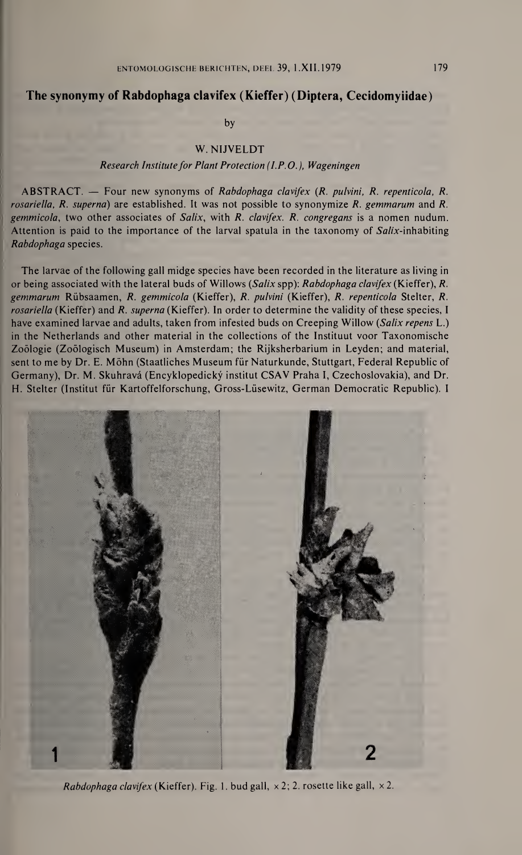# The synonymy of Rabdophaga clavifex (Kieffer) (Diptera, Cecidomyiidae)

by

## W. NIJVELDT

#### Research Institute for Plant Protection  $(I.P.O.)$ , Wageningen

ABSTRACT. — Four new synonyms of Rabdophaga clavifex {R. pulvini, R. repenticola, R. rosariella, R. superna) are established. It was not possible to synonymize R. gemmarum and R. gemmicola, two other associates of Salix, with R. clavifex. R. congregans is a nomen nudum. Attention is paid to the importance of the larval spatula in the taxonomy of Salix-inhabiting Rabdophaga species.

The larvae of the following gall midge species have been recorded in the literature as living in or being associated with the lateral buds of Willows (Salix spp): Rabdophaga clavifex (Kieffer), R. gemmarum Rübsaamen, R. gemmicola (Kieffer), R. pulvini (Kieffer), R. repenticola Stelter, R. rosariella (Kieffer) and R. superna (Kieffer). In order to determine the validity of these species, I have examined larvae and adults, taken from infested buds on Creeping Willow (Salix repens L.) in the Netherlands and other material in the collections of the Instituut voor Taxonomische Zoölogie (Zoölogisch Museum) in Amsterdam; the Rijksherbarium in Leyden; and material, sent to me by Dr. E. Möhn (Staatliches Museum für Naturkunde, Stuttgart, Federal Republic of Germany), Dr. M. Skuhravâ (Encyklopedickÿ institut CSAV Praha I, Czechoslovakia), and Dr. H. Stelter (Institut für Kartoffelforschung, Gross-Lüsewitz, German Democratic Republic). <sup>I</sup>



Rabdophaga clavifex (Kieffer). Fig. 1. bud gall,  $\times$  2; 2. rosette like gall,  $\times$  2.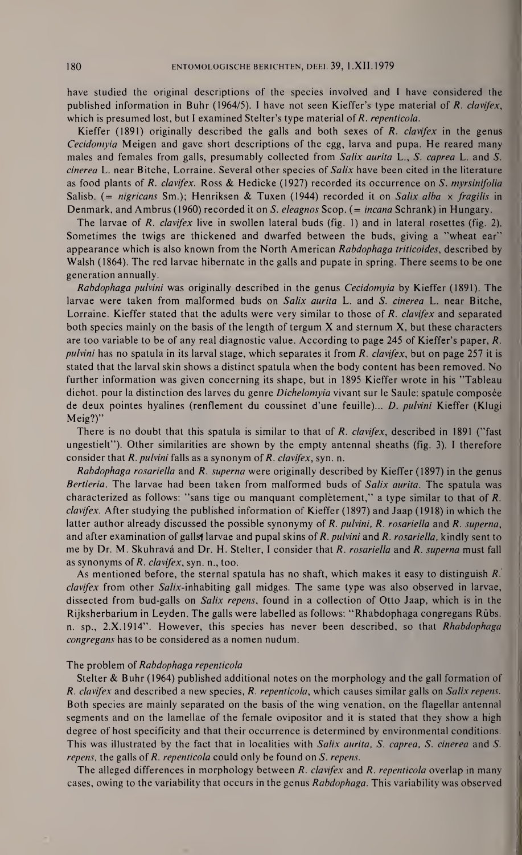have studied the original descriptions of the species involved and <sup>I</sup> have considered the published information in Buhr (1964/5). <sup>I</sup> have not seen Kieffer's type material of R. clavifex, which is presumed lost, but I examined Stelter's type material of R. repenticola.

Kieffer (1891) originally described the galls and both sexes of  $R$ . *clavifex* in the genus Cecidomyia Meigen and gave short descriptions of the egg, larva and pupa. He reared many males and females from galls, presumably collected from Salix aurita L., S. caprea L. and S. cinerea L. near Bitche, Lorraine. Several other species of Salix have been cited in the literature as food plants of R. clavifex. Ross & Hedicke (1927) recorded its occurrence on S. myrsinifolia Salisb. (= nigricans Sm.); Henriksen & Tuxen (1944) recorded it on Salix alba  $\times$  fragilis in Denmark, and Ambrus (1960) recorded it on S. eleagnos Scop. (= *incana* Schrank) in Hungary.

The larvae of R. clavifex live in swollen lateral buds (fig. 1) and in lateral rosettes (fig. 2). Sometimes the twigs are thickened and dwarfed between the buds, giving a ''wheat ear" appearance which is also known from the North American Rabdophaga triticoides, described by Walsh (1864). The red larvae hibernate in the galls and pupate in spring. There seems to be one generation annually.

Rabdophaga pulvini was originally described in the genus Cecidomyia by Kieffer (1891). The larvae were taken from malformed buds on Salix aurita L. and S. cinerea L. near Bitche, Lorraine. Kieffer stated that the adults were very similar to those of R. clavifex and separated both species mainly on the basis of the length of tergum  $X$  and sternum  $X$ , but these characters are too variable to be of any real diagnostic value. According to page 245 of Kieffer's paper, R. pulvini has no spatula in its larval stage, which separates it from R. *clavifex*, but on page 257 it is stated that the larval skin shows a distinct spatula when the body content has been removed. No further information was given concerning its shape, but in 1895 Kieffer wrote in his ''Tableau dichot. pour la distinction des larves du genre *Dichelomyia* vivant sur le Saule: spatule composée de deux pointes hyalines (renflement du coussinet d'une feuille)... D. pulvini Kieffer (Klugi Meig?)"

There is no doubt that this spatula is similar to that of R. *clavifex*, described in 1891 ("fast ungestielt"). Other similarities are shown by the empty antennal sheaths (fig. 3). <sup>I</sup> therefore consider that R. pulvini falls as a synonym of R. clavifex, syn. n.

Rabdophaga rosariella and R. superna were originally described by Kieffer (1897) in the genus Bertieria. The larvae had been taken from malformed buds of Salix aurita. The spatula was characterized as follows: ''sans tige ou manquant complètement," a type similar to that of R. clavifex. After studying the published information of Kieffer (1897) and Jaap (1918) in which the latter author already discussed the possible synonymy of R. pulvini, R. rosariella and R. superna, and after examination of galls, larvae and pupal skins of  $R$ . *pulvini* and  $R$ . *rosariella*, kindly sent to me by Dr. M. Skuhravá and Dr. H. Stelter, I consider that R. rosariella and R. superna must fall as synonyms of R. clavifex, syn. n., too.

As mentioned before, the sternal spatula has no shaft, which makes it easy to distinguish R. clavifex from other Salix-inhabiting gall midges. The same type was also observed in larvae, dissected from bud-galls on Salix repens, found in a collection of Otto Jaap, which is in the Rijksherbarium in Leyden. The galls were labelled as follows: "Rhabdophaga congregans Rübs. n. sp., 2.X.1914". However, this species has never been described, so that Rhabdophaga congregans has to be considered as a nomen nudum.

#### The problem of Rabdophaga repenticola

Stelter & Buhr (1964) published additional notes on the morphology and the gall formation of R. clavifex and described a new species, R. repenticola, which causes similar galls on Salix repens. Both species are mainly separated on the basis of the wing venation, on the flagellar antennal segments and on the lamellae of the female ovipositor and it is stated that they show a high degree of host specificity and that their occurrence is determined by environmental conditions. This was illustrated by the fact that in localities with Salix aurita, S. caprea, S. cinerea and S. repens, the galls of R. repenticola could only be found on S. repens.

The alleged differences in morphology between R. clavifex and R. repenticola overlap in many cases, owing to the variability that occurs in the genus Rabdophaga. This variability was observed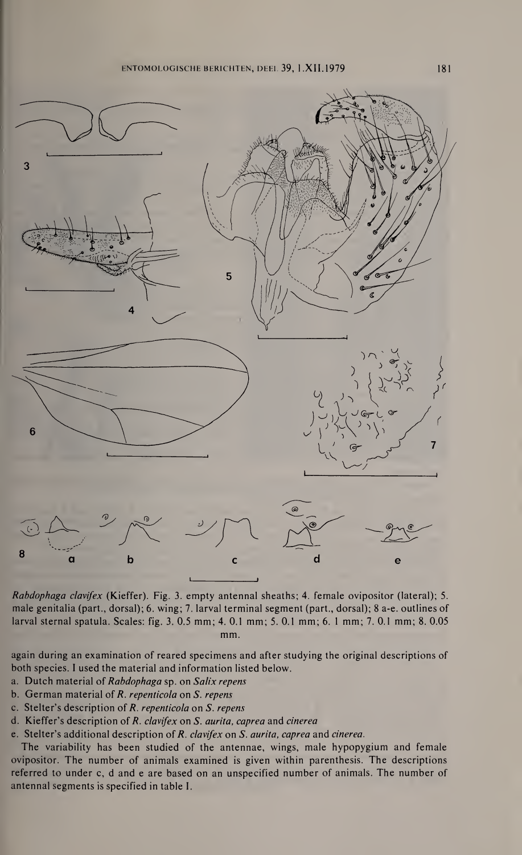ENTOMOLOGISCHE BERICHTEN, DEEL 39, 1.XII.1979 181



Rabdophaga clavifex (Kieffer). Fig. 3. empty antennal sheaths; 4. fernale ovipositor (lateral); 5. male genitalia (part., dorsal); 6. wing; 7. larval terminal segment (part., dorsal); 8 a-e. outlines of larval sternal spatula. Scales: fig. 3. 0.5 mm; 4. 0.1 mm; 5. 0.1 mm; 6. <sup>1</sup> mm; 7. 0.1 mm; 8. 0.05 mm.

again during an examination of reared specimens and after studying the original descriptions of both species. <sup>I</sup> used the material and information listed below.

- a. Dutch material of Rabdophaga sp. on Salix repens
- b. German material of R. repenticola on S. repens
- c. Stelter's description of R. repenticola on S. repens
- d. Kieffer's description of R. clavifex on S. aurita, caprea and cinerea
- e. Stelter's additional description of R. clavifex on S. aurita, caprea and cinerea.

The variability has been studied of the antennae, wings, male hypopygium and female ovipositor. The number of animals examined is given within parenthesis. The descriptions referred to under c, d and e are based on an unspecified number of animals. The number of antennal segments is specified in table I.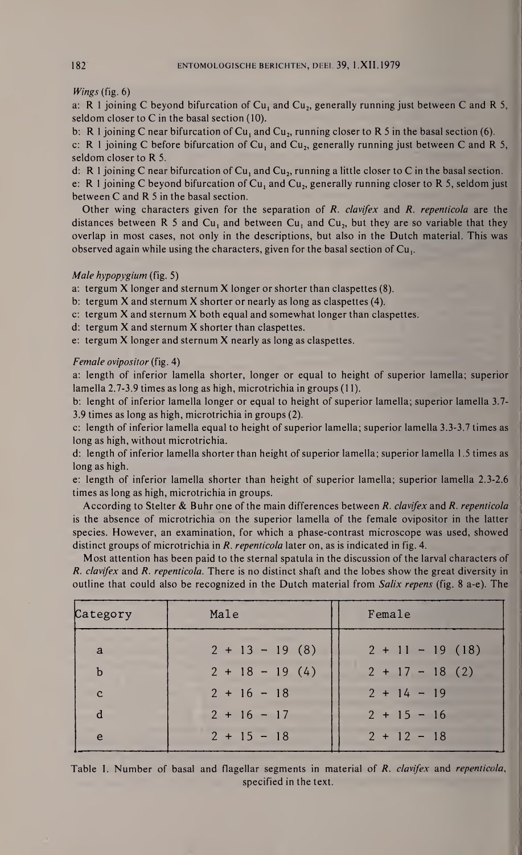Wings (fig. 6)

a: R 1 joining C beyond bifurcation of  $Cu<sub>1</sub>$  and  $Cu<sub>2</sub>$ , generally running just between C and R 5, seldom closer to C in the basal section (10).

b: R 1 joining C near bifurcation of  $Cu_1$  and  $Cu_2$ , running closer to R 5 in the basal section (6). c: R 1 joining C before bifurcation of Cu<sub>1</sub> and Cu<sub>2</sub>, generally running just between C and R 5, seldom closer to R 5.

d: R 1 joining C near bifurcation of  $Cu_1$  and  $Cu_2$ , running a little closer to C in the basal section. e: R 1 joining C beyond bifurcation of  $Cu_1$  and  $Cu_2$ , generally running closer to R 5, seldom just between C and R <sup>5</sup> in the basal section.

Other wing characters given for the separation of R. clavifex and R. repenticola are the distances between R 5 and Cu<sub>1</sub> and between Cu<sub>1</sub> and Cu<sub>2</sub>, but they are so variable that they overlap in most cases, not only in the descriptions, but also in the Dutch material. This was observed again while using the characters, given for the basal section of Cu,.

## Male hypopygium (fig. 5)

a: tergum  $X$  longer and sternum  $X$  longer or shorter than claspettes  $(8)$ .

b: tergum X and sternum X shorter or nearly as long as claspettes (4).

- c: tergum  $X$  and sternum  $X$  both equal and somewhat longer than claspettes.
- d: tergum X and sternum X shorter than claspettes.

e: tergum X longer and sternum X nearly as long as claspettes.

## Female ovipositor (fig. 4)

a: length of inferior lamella shorter, longer or equal to height of superior lamella; superior lamella 2.7-3.9 times as long as high, microtrichia in groups (11).

b: lenght of inferior lamella longer or equal to height of superior lamella; superior lamella 3.7- 3.9 times as long as high, microtrichia in groups (2).

c: length of inferior lamella equal to height of superior lamella; superior lamella 3.3-3.7 times as long as high, without microtrichia.

d; length of inferior lamella shorter than height of superior lamella; superior lamella 1.5 times as long as high.

e: length of inferior lamella shorter than height of superior lamella; superior lamella 2.3-2.6 times as long as high, microtrichia in groups.

According to Stelter & Buhr one of the main differences between R. clavifex and R. repenticola is the absence of microtrichia on the superior lamella of the female ovipositor in the latter species. However, an examination, for which a phase-contrast microscope was used, showed distinct groups of microtrichia in R. repenticola later on, as is indicated in fig. 4.

Most attention has been paid to the sternal spatula in the discussion of the larval characters of R. clavifex and R. repenticola. There is no distinct shaft and the lobes show the great diversity in outline that could also be recognized in the Dutch material from Salix repens (fig. 8 a-e). The

| Category     | Male              | Female             |
|--------------|-------------------|--------------------|
| a            | $2 + 13 - 19$ (8) | $2 + 11 - 19$ (18) |
| $\mathbf b$  | $2 + 18 - 19(4)$  | $2 + 17 - 18$ (2)  |
| $\mathbf{C}$ | $2 + 16 - 18$     | $2 + 14 - 19$      |
| d            | $2 + 16 - 17$     | $2 + 15 - 16$      |
| e            | $2 + 15 - 18$     | $2 + 12 - 18$      |

Table I. Number of basal and flagellar segments in material of R. *clavifex* and *repenticola*, specified in the text.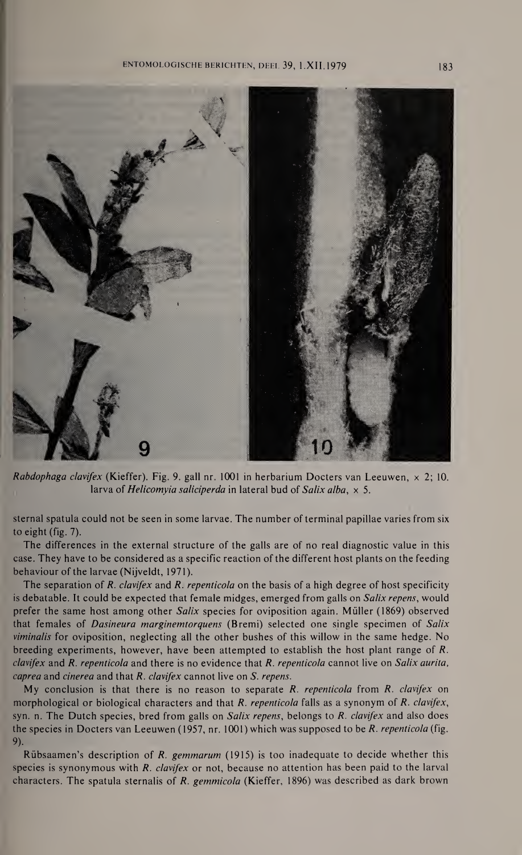## ENTOMOLOGISCHE BERICHTEN, DEEL 39, 1.XII.1979 183



Rabdophaga clavifex (Kieffer). Fig. 9. gall nr. 1001 in herbarium Docters van Leeuwen,  $\times$  2; 10. larva of *Helicomyia saliciperda* in lateral bud of *Salix alba*,  $\times$  5.

sternal spatula could not be seen in some larvae. The number of terminal papillae varies from six to eight (fig. 7).

The differences in the external structure of the galls are of no real diagnostic value in this case. They have to be considered as a specific reaction of the different host plants on the feeding behaviour of the larvae (Nijveldt, 1971).

The separation of R. clavifex and R. repenticola on the basis of a high degree of host specificity is debatable. It could be expected that female midges, emerged from galls on Salix repens, would prefer the same host among other Salix species for oviposition again. Müller (1869) observed that females of Dasineura marginemtorquens (Bremi) selected one single specimen of Salix viminalis for oviposition, neglecting all the other bushes of this willow in the same hedge. No breeding experiments, however, have been attempted to establish the host plant range of R. clavifex and R. repenticola and there is no evidence that R. repenticola cannot live on Salix aurita, caprea and cinerea and that R. clavifex cannot live on S. repens.

My conclusion is that there is no reason to separate  $R$ . repenticola from  $R$ . clavifex on morphological or biological characters and that  $R$ . repenticola falls as a synonym of  $R$ . clavifex, syn. n. The Dutch species, bred from galls on Salix repens, belongs to R. clavifex and also does the species in Docters van Leeuwen (1957, nr. 1001) which was supposed to be R. repenticola (fig. 9).

Rübsaamen's description of R. gemmarum (1915) is too inadequate to decide whether this species is synonymous with R. *clavifex* or not, because no attention has been paid to the larval characters. The spatula sternalis of  $R$ . gemmicola (Kieffer, 1896) was described as dark brown